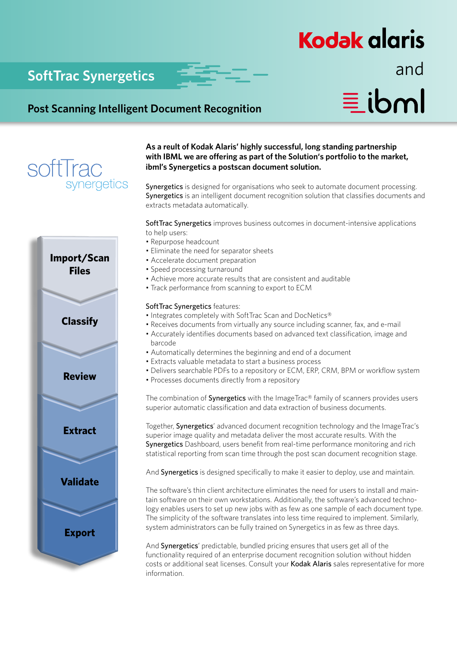## **Kodak glaris**

## **SoftTrac Synergetics and**

 $\equiv$ ibml

### **Post Scanning Intelligent Document Recognition**



# **Import/Scan Files Classify Review Extract Validate Export**

**As a reult of Kodak Alaris' highly successful, long standing partnership with IBML we are offering as part of the Solution's portfolio to the market, ibml's Synergetics a postscan document solution.**

Synergetics is designed for organisations who seek to automate document processing. Synergetics is an intelligent document recognition solution that classifies documents and extracts metadata automatically.

Soft Trac Synergetics improves business outcomes in document-intensive applications to help users:

- Repurpose headcount
- Eliminate the need for separator sheets
- Accelerate document preparation
- Speed processing turnaround
- Achieve more accurate results that are consistent and auditable
- Track performance from scanning to export to ECM

### SoftTrac Synergetics features:

- Integrates completely with SoftTrac Scan and DocNetics®
- Receives documents from virtually any source including scanner, fax, and e-mail
- Accurately identifies documents based on advanced text classification, image and barcode
- Automatically determines the beginning and end of a document
- Extracts valuable metadata to start a business process
- Delivers searchable PDFs to a repository or ECM, ERP, CRM, BPM or workflow system
- Processes documents directly from a repository

The combination of **Synergetics** with the ImageTrac® family of scanners provides users superior automatic classification and data extraction of business documents.

Together, **Synergetics**' advanced document recognition technology and the ImageTrac's superior image quality and metadata deliver the most accurate results. With the Synergetics Dashboard, users benefit from real-time performance monitoring and rich statistical reporting from scan time through the post scan document recognition stage.

And Synergetics is designed specifically to make it easier to deploy, use and maintain.

The software's thin client architecture eliminates the need for users to install and maintain software on their own workstations. Additionally, the software's advanced technology enables users to set up new jobs with as few as one sample of each document type. The simplicity of the software translates into less time required to implement. Similarly, system administrators can be fully trained on Synergetics in as few as three days.

And Synergetics' predictable, bundled pricing ensures that users get all of the functionality required of an enterprise document recognition solution without hidden costs or additional seat licenses. Consult your Kodak Alaris sales representative for more information.